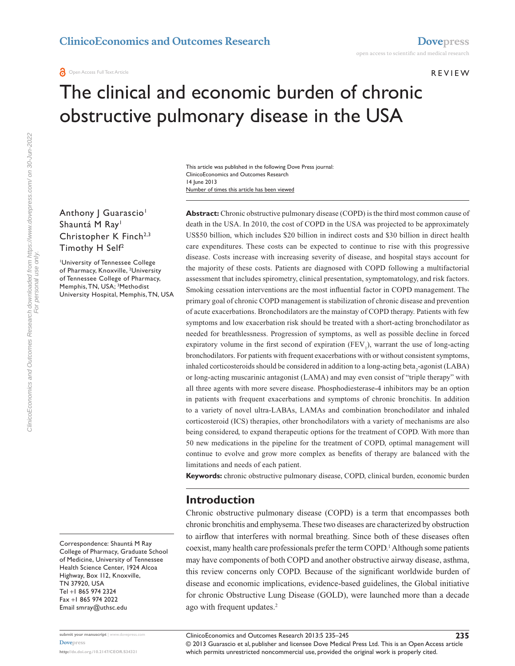#### **REVIEW**

# The clinical and economic burden of chronic obstructive pulmonary disease in the USA

Number of times this article has been viewed This article was published in the following Dove Press journal: ClinicoEconomics and Outcomes Research 14 June 2013

Anthony | Guarascio<sup>1</sup> Shauntá M Ray<sup>1</sup> Christopher K Finch<sup>2,3</sup> Timothy H Self2

1 University of Tennessee College of Pharmacy, Knoxville, <sup>2</sup>University of Tennessee College of Pharmacy, Memphis, TN, USA; <sup>3</sup>Methodist University Hospital, Memphis, TN, USA

Correspondence: Shauntá M Ray College of Pharmacy, Graduate School of Medicine, University of Tennessee Health Science Center, 1924 Alcoa Highway, Box 112, Knoxville, TN 37920, USA Tel +1 865 974 2324 Fax +1 865 974 2022 Email [smray@uthsc.edu](mailto:smray@uthsc.edu)

death in the USA. In 2010, the cost of COPD in the USA was projected to be approximately US\$50 billion, which includes \$20 billion in indirect costs and \$30 billion in direct health care expenditures. These costs can be expected to continue to rise with this progressive disease. Costs increase with increasing severity of disease, and hospital stays account for the majority of these costs. Patients are diagnosed with COPD following a multifactorial assessment that includes spirometry, clinical presentation, symptomatology, and risk factors. Smoking cessation interventions are the most influential factor in COPD management. The primary goal of chronic COPD management is stabilization of chronic disease and prevention of acute exacerbations. Bronchodilators are the mainstay of COPD therapy. Patients with few symptoms and low exacerbation risk should be treated with a short-acting bronchodilator as needed for breathlessness. Progression of symptoms, as well as possible decline in forced expiratory volume in the first second of expiration  $(FEV<sub>1</sub>)$ , warrant the use of long-acting bronchodilators. For patients with frequent exacerbations with or without consistent symptoms, inhaled corticosteroids should be considered in addition to a long-acting beta<sub>2</sub>-agonist (LABA) or long-acting muscarinic antagonist (LAMA) and may even consist of "triple therapy" with all three agents with more severe disease. Phosphodiesterase-4 inhibitors may be an option in patients with frequent exacerbations and symptoms of chronic bronchitis. In addition to a variety of novel ultra-LABAs, LAMAs and combination bronchodilator and inhaled corticosteroid (ICS) therapies, other bronchodilators with a variety of mechanisms are also being considered, to expand therapeutic options for the treatment of COPD. With more than 50 new medications in the pipeline for the treatment of COPD, optimal management will continue to evolve and grow more complex as benefits of therapy are balanced with the limitations and needs of each patient. **Keywords:** chronic obstructive pulmonary disease, COPD, clinical burden, economic burden

**Abstract:** Chronic obstructive pulmonary disease (COPD) is the third most common cause of

### **Introduction**

Chronic obstructive pulmonary disease (COPD) is a term that encompasses both chronic bronchitis and emphysema. These two diseases are characterized by obstruction to airflow that interferes with normal breathing. Since both of these diseases often coexist, many health care professionals prefer the term COPD.<sup>1</sup> Although some patients may have components of both COPD and another obstructive airway disease, asthma, this review concerns only COPD. Because of the significant worldwide burden of disease and economic implications, evidence-based guidelines, the Global initiative for chronic Obstructive Lung Disease (GOLD), were launched more than a decade ago with frequent updates.<sup>2</sup>

which permits unrestricted noncommercial use, provided the original work is properly cited.

For personal use only.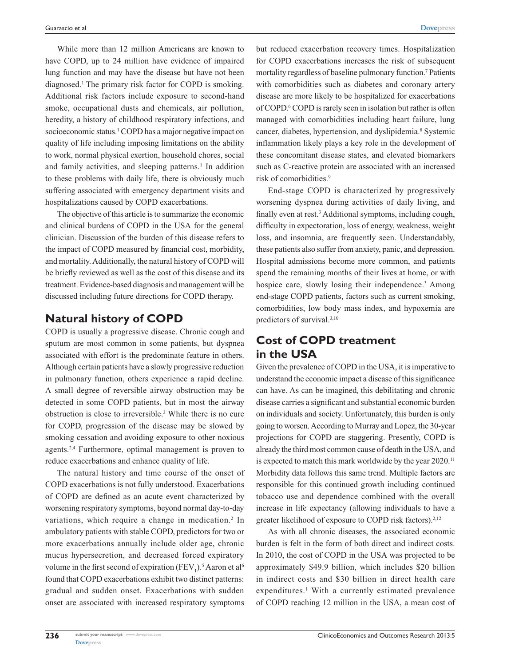While more than 12 million Americans are known to have COPD, up to 24 million have evidence of impaired lung function and may have the disease but have not been diagnosed.1 The primary risk factor for COPD is smoking. Additional risk factors include exposure to second-hand smoke, occupational dusts and chemicals, air pollution, heredity, a history of childhood respiratory infections, and socioeconomic status.<sup>1</sup> COPD has a major negative impact on quality of life including imposing limitations on the ability to work, normal physical exertion, household chores, social and family activities, and sleeping patterns.<sup>1</sup> In addition to these problems with daily life, there is obviously much suffering associated with emergency department visits and hospitalizations caused by COPD exacerbations.

The objective of this article is to summarize the economic and clinical burdens of COPD in the USA for the general clinician. Discussion of the burden of this disease refers to the impact of COPD measured by financial cost, morbidity, and mortality. Additionally, the natural history of COPD will be briefly reviewed as well as the cost of this disease and its treatment. Evidence-based diagnosis and management will be discussed including future directions for COPD therapy.

## **Natural history of COPD**

COPD is usually a progressive disease. Chronic cough and sputum are most common in some patients, but dyspnea associated with effort is the predominate feature in others. Although certain patients have a slowly progressive reduction in pulmonary function, others experience a rapid decline. A small degree of reversible airway obstruction may be detected in some COPD patients, but in most the airway obstruction is close to irreversible.3 While there is no cure for COPD, progression of the disease may be slowed by smoking cessation and avoiding exposure to other noxious agents.2,4 Furthermore, optimal management is proven to reduce exacerbations and enhance quality of life.

The natural history and time course of the onset of COPD exacerbations is not fully understood. Exacerbations of COPD are defined as an acute event characterized by worsening respiratory symptoms, beyond normal day-to-day variations, which require a change in medication.<sup>2</sup> In ambulatory patients with stable COPD, predictors for two or more exacerbations annually include older age, chronic mucus hypersecretion, and decreased forced expiratory volume in the first second of expiration ( $\text{FEV}_1$ ).<sup>5</sup> Aaron et al<sup>6</sup> found that COPD exacerbations exhibit two distinct patterns: gradual and sudden onset. Exacerbations with sudden onset are associated with increased respiratory symptoms

but reduced exacerbation recovery times. Hospitalization for COPD exacerbations increases the risk of subsequent mortality regardless of baseline pulmonary function.7 Patients with comorbidities such as diabetes and coronary artery disease are more likely to be hospitalized for exacerbations of COPD.<sup>6</sup> COPD is rarely seen in isolation but rather is often managed with comorbidities including heart failure, lung cancer, diabetes, hypertension, and dyslipidemia.<sup>8</sup> Systemic inflammation likely plays a key role in the development of these concomitant disease states, and elevated biomarkers such as C-reactive protein are associated with an increased risk of comorbidities.9

End-stage COPD is characterized by progressively worsening dyspnea during activities of daily living, and finally even at rest.<sup>3</sup> Additional symptoms, including cough, difficulty in expectoration, loss of energy, weakness, weight loss, and insomnia, are frequently seen. Understandably, these patients also suffer from anxiety, panic, and depression. Hospital admissions become more common, and patients spend the remaining months of their lives at home, or with hospice care, slowly losing their independence.<sup>3</sup> Among end-stage COPD patients, factors such as current smoking, comorbidities, low body mass index, and hypoxemia are predictors of survival.3,10

# **Cost of COPD treatment in the USA**

Given the prevalence of COPD in the USA, it is imperative to understand the economic impact a disease of this significance can have. As can be imagined, this debilitating and chronic disease carries a significant and substantial economic burden on individuals and society. Unfortunately, this burden is only going to worsen. According to Murray and Lopez, the 30-year projections for COPD are staggering. Presently, COPD is already the third most common cause of death in the USA, and is expected to match this mark worldwide by the year 2020.<sup>11</sup> Morbidity data follows this same trend. Multiple factors are responsible for this continued growth including continued tobacco use and dependence combined with the overall increase in life expectancy (allowing individuals to have a greater likelihood of exposure to COPD risk factors).<sup>2,12</sup>

As with all chronic diseases, the associated economic burden is felt in the form of both direct and indirect costs. In 2010, the cost of COPD in the USA was projected to be approximately \$49.9 billion, which includes \$20 billion in indirect costs and \$30 billion in direct health care expenditures.<sup>1</sup> With a currently estimated prevalence of COPD reaching 12 million in the USA, a mean cost of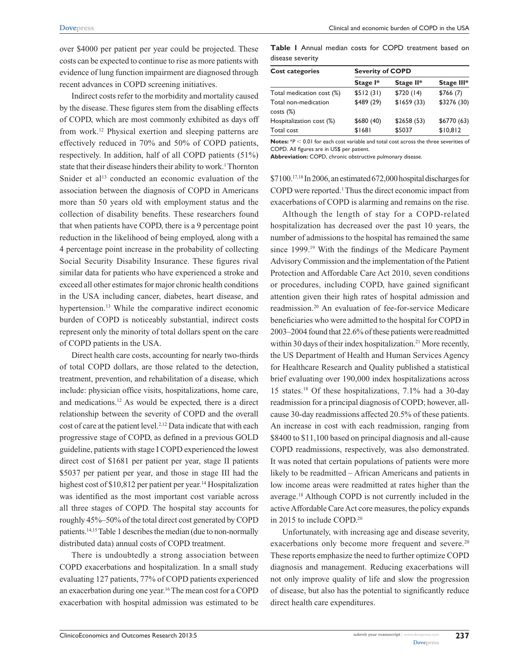over \$4000 per patient per year could be projected. These costs can be expected to continue to rise as more patients with evidence of lung function impairment are diagnosed through recent advances in COPD screening initiatives.

Indirect costs refer to the morbidity and mortality caused by the disease. These figures stem from the disabling effects of COPD, which are most commonly exhibited as days off from work.12 Physical exertion and sleeping patterns are effectively reduced in 70% and 50% of COPD patients, respectively. In addition, half of all COPD patients (51%) state that their disease hinders their ability to work.<sup>1</sup> Thornton Snider et al<sup>13</sup> conducted an economic evaluation of the association between the diagnosis of COPD in Americans more than 50 years old with employment status and the collection of disability benefits. These researchers found that when patients have COPD, there is a 9 percentage point reduction in the likelihood of being employed, along with a 4 percentage point increase in the probability of collecting Social Security Disability Insurance. These figures rival similar data for patients who have experienced a stroke and exceed all other estimates for major chronic health conditions in the USA including cancer, diabetes, heart disease, and hypertension.<sup>13</sup> While the comparative indirect economic burden of COPD is noticeably substantial, indirect costs represent only the minority of total dollars spent on the care of COPD patients in the USA.

Direct health care costs, accounting for nearly two-thirds of total COPD dollars, are those related to the detection, treatment, prevention, and rehabilitation of a disease, which include: physician office visits, hospitalizations, home care, and medications.12 As would be expected, there is a direct relationship between the severity of COPD and the overall cost of care at the patient level.<sup>2,12</sup> Data indicate that with each progressive stage of COPD, as defined in a previous GOLD guideline, patients with stage I COPD experienced the lowest direct cost of \$1681 per patient per year, stage II patients \$5037 per patient per year, and those in stage III had the highest cost of \$10,812 per patient per year.<sup>14</sup> Hospitalization was identified as the most important cost variable across all three stages of COPD. The hospital stay accounts for roughly 45%–50% of the total direct cost generated by COPD patients.14,15Table 1 describes the median (due to non-normally distributed data) annual costs of COPD treatment.

There is undoubtedly a strong association between COPD exacerbations and hospitalization. In a small study evaluating 127 patients, 77% of COPD patients experienced an exacerbation during one year.16 The mean cost for a COPD exacerbation with hospital admission was estimated to be

|                  |  |  |  | <b>Table I</b> Annual median costs for COPD treatment based on |  |
|------------------|--|--|--|----------------------------------------------------------------|--|
| disease severity |  |  |  |                                                                |  |

| <b>Cost categories</b>                | <b>Severity of COPD</b> |            |             |  |  |  |
|---------------------------------------|-------------------------|------------|-------------|--|--|--|
|                                       | Stage I*                | Stage II*  | Stage III*  |  |  |  |
| Total medication cost (%)             | \$512(31)               | \$720(14)  | \$766(7)    |  |  |  |
| Total non-medication<br>$costs$ $(*)$ | \$489 (29)              | \$1659(33) | \$3276 (30) |  |  |  |
| Hospitalization cost (%)              | \$680(40)               | \$2658(53) | \$6770(63)  |  |  |  |
| Total cost                            | \$1681                  | \$5037     | \$10,812    |  |  |  |

**Notes:** \* $P < 0.01$  for each cost variable and total cost across the three severities of COPD. All figures are in US\$ per patient.

**Abbreviation:** COPD, chronic obstructive pulmonary disease.

\$7100.17,18 In 2006, an estimated 672,000 hospital discharges for COPD were reported.<sup>1</sup> Thus the direct economic impact from exacerbations of COPD is alarming and remains on the rise.

Although the length of stay for a COPD-related hospitalization has decreased over the past 10 years, the number of admissions to the hospital has remained the same since 1999.<sup>19</sup> With the findings of the Medicare Payment Advisory Commission and the implementation of the Patient Protection and Affordable Care Act 2010, seven conditions or procedures, including COPD, have gained significant attention given their high rates of hospital admission and readmission.20 An evaluation of fee-for-service Medicare beneficiaries who were admitted to the hospital for COPD in 2003–2004 found that 22.6% of these patients were readmitted within 30 days of their index hospitalization.<sup>21</sup> More recently, the US Department of Health and Human Services Agency for Healthcare Research and Quality published a statistical brief evaluating over 190,000 index hospitalizations across 15 states.18 Of these hospitalizations, 7.1% had a 30-day readmission for a principal diagnosis of COPD; however, allcause 30-day readmissions affected 20.5% of these patients. An increase in cost with each readmission, ranging from \$8400 to \$11,100 based on principal diagnosis and all-cause COPD readmissions, respectively, was also demonstrated. It was noted that certain populations of patients were more likely to be readmitted – African Americans and patients in low income areas were readmitted at rates higher than the average.18 Although COPD is not currently included in the active Affordable Care Act core measures, the policy expands in 2015 to include COPD.20

Unfortunately, with increasing age and disease severity, exacerbations only become more frequent and severe.<sup>20</sup> These reports emphasize the need to further optimize COPD diagnosis and management. Reducing exacerbations will not only improve quality of life and slow the progression of disease, but also has the potential to significantly reduce direct health care expenditures.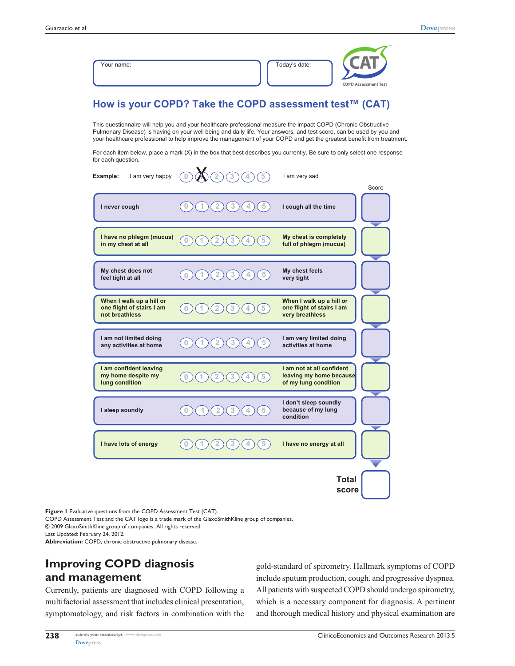| Your name:                                                                                                                                                                                                                                                                                                                                                      |                                                                                                                         | Today's date: |                                                                              |       |  |
|-----------------------------------------------------------------------------------------------------------------------------------------------------------------------------------------------------------------------------------------------------------------------------------------------------------------------------------------------------------------|-------------------------------------------------------------------------------------------------------------------------|---------------|------------------------------------------------------------------------------|-------|--|
| <b>COPD Assessment Test</b><br>How is your COPD? Take the COPD assessment test™ (CAT)                                                                                                                                                                                                                                                                           |                                                                                                                         |               |                                                                              |       |  |
| This questionnaire will help you and your healthcare professional measure the impact COPD (Chronic Obstructive<br>Pulmonary Disease) is having on your well being and daily life. Your answers, and test score, can be used by you and<br>your healthcare professional to help improve the management of your COPD and get the greatest benefit from treatment. |                                                                                                                         |               |                                                                              |       |  |
| for each question.                                                                                                                                                                                                                                                                                                                                              | For each item below, place a mark (X) in the box that best describes you currently. Be sure to only select one response |               |                                                                              |       |  |
| I am very happy<br>Example:                                                                                                                                                                                                                                                                                                                                     |                                                                                                                         | I am very sad |                                                                              | Score |  |
| I never cough                                                                                                                                                                                                                                                                                                                                                   |                                                                                                                         |               | I cough all the time                                                         |       |  |
| I have no phlegm (mucus)<br>in my chest at all                                                                                                                                                                                                                                                                                                                  |                                                                                                                         |               | My chest is completely<br>full of phlegm (mucus)                             |       |  |
| My chest does not<br>feel tight at all                                                                                                                                                                                                                                                                                                                          |                                                                                                                         | very tight    | My chest feels                                                               |       |  |
| When I walk up a hill or<br>one flight of stairs I am<br>not breathless                                                                                                                                                                                                                                                                                         |                                                                                                                         |               | When I walk up a hill or<br>one flight of stairs I am<br>very breathless     |       |  |
| I am not limited doing<br>any activities at home                                                                                                                                                                                                                                                                                                                |                                                                                                                         |               | I am very limited doing<br>activities at home                                |       |  |
| I am confident leaving<br>my home despite my<br>lung condition                                                                                                                                                                                                                                                                                                  |                                                                                                                         |               | I am not at all confident<br>leaving my home because<br>of my lung condition |       |  |
| I sleep soundly                                                                                                                                                                                                                                                                                                                                                 |                                                                                                                         | condition     | I don't sleep soundly<br>because of my lung                                  |       |  |
| I have lots of energy                                                                                                                                                                                                                                                                                                                                           | 3                                                                                                                       |               | I have no energy at all                                                      |       |  |
|                                                                                                                                                                                                                                                                                                                                                                 |                                                                                                                         |               | <b>Total</b><br>score                                                        |       |  |

**Figure 1** Evaluative questions from the COPD Assessment Test (CAT).

COPD Assessment Test and the CAT logo is a trade mark of the GlaxoSmithKline group of companies.

© 2009 GlaxoSmithKline group of companies. All rights reserved.

Last Updated: February 24, 2012.

**Abbreviation:** COPD, chronic obstructive pulmonary disease.

# **Improving COPD diagnosis and management**

Currently, patients are diagnosed with COPD following a multifactorial assessment that includes clinical presentation, symptomatology, and risk factors in combination with the gold-standard of spirometry. Hallmark symptoms of COPD include sputum production, cough, and progressive dyspnea. All patients with suspected COPD should undergo spirometry, which is a necessary component for diagnosis. A pertinent and thorough medical history and physical examination are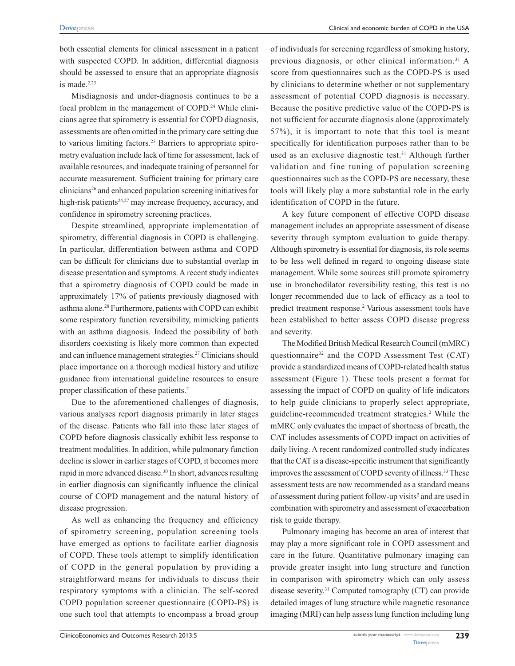both essential elements for clinical assessment in a patient with suspected COPD. In addition, differential diagnosis should be assessed to ensure that an appropriate diagnosis is made. $2,23$ 

Misdiagnosis and under-diagnosis continues to be a focal problem in the management of COPD.<sup>24</sup> While clinicians agree that spirometry is essential for COPD diagnosis, assessments are often omitted in the primary care setting due to various limiting factors.<sup>25</sup> Barriers to appropriate spirometry evaluation include lack of time for assessment, lack of available resources, and inadequate training of personnel for accurate measurement. Sufficient training for primary care clinicians26 and enhanced population screening initiatives for high-risk patients $24,27$  may increase frequency, accuracy, and confidence in spirometry screening practices.

Despite streamlined, appropriate implementation of spirometry, differential diagnosis in COPD is challenging. In particular, differentiation between asthma and COPD can be difficult for clinicians due to substantial overlap in disease presentation and symptoms. A recent study indicates that a spirometry diagnosis of COPD could be made in approximately 17% of patients previously diagnosed with asthma alone.28 Furthermore, patients with COPD can exhibit some respiratory function reversibility, mimicking patients with an asthma diagnosis. Indeed the possibility of both disorders coexisting is likely more common than expected and can influence management strategies.<sup>27</sup> Clinicians should place importance on a thorough medical history and utilize guidance from international guideline resources to ensure proper classification of these patients.<sup>2</sup>

Due to the aforementioned challenges of diagnosis, various analyses report diagnosis primarily in later stages of the disease. Patients who fall into these later stages of COPD before diagnosis classically exhibit less response to treatment modalities. In addition, while pulmonary function decline is slower in earlier stages of COPD, it becomes more rapid in more advanced disease.<sup>30</sup> In short, advances resulting in earlier diagnosis can significantly influence the clinical course of COPD management and the natural history of disease progression.

As well as enhancing the frequency and efficiency of spirometry screening, population screening tools have emerged as options to facilitate earlier diagnosis of COPD. These tools attempt to simplify identification of COPD in the general population by providing a straightforward means for individuals to discuss their respiratory symptoms with a clinician. The self-scored COPD population screener questionnaire (COPD-PS) is one such tool that attempts to encompass a broad group of individuals for screening regardless of smoking history, previous diagnosis, or other clinical information.31 A score from questionnaires such as the COPD-PS is used by clinicians to determine whether or not supplementary assessment of potential COPD diagnosis is necessary. Because the positive predictive value of the COPD-PS is not sufficient for accurate diagnosis alone (approximately 57%), it is important to note that this tool is meant specifically for identification purposes rather than to be used as an exclusive diagnostic test.<sup>31</sup> Although further validation and fine tuning of population screening questionnaires such as the COPD-PS are necessary, these tools will likely play a more substantial role in the early identification of COPD in the future.

A key future component of effective COPD disease management includes an appropriate assessment of disease severity through symptom evaluation to guide therapy. Although spirometry is essential for diagnosis, its role seems to be less well defined in regard to ongoing disease state management. While some sources still promote spirometry use in bronchodilator reversibility testing, this test is no longer recommended due to lack of efficacy as a tool to predict treatment response.<sup>2</sup> Various assessment tools have been established to better assess COPD disease progress and severity.

The Modified British Medical Research Council (mMRC) questionnaire<sup>32</sup> and the COPD Assessment Test (CAT) provide a standardized means of COPD-related health status assessment (Figure 1). These tools present a format for assessing the impact of COPD on quality of life indicators to help guide clinicians to properly select appropriate, guideline-recommended treatment strategies.<sup>2</sup> While the mMRC only evaluates the impact of shortness of breath, the CAT includes assessments of COPD impact on activities of daily living. A recent randomized controlled study indicates that the CAT is a disease-specific instrument that significantly improves the assessment of COPD severity of illness.<sup>33</sup> These assessment tests are now recommended as a standard means of assessment during patient follow-up visits<sup>2</sup> and are used in combination with spirometry and assessment of exacerbation risk to guide therapy.

Pulmonary imaging has become an area of interest that may play a more significant role in COPD assessment and care in the future. Quantitative pulmonary imaging can provide greater insight into lung structure and function in comparison with spirometry which can only assess disease severity.31 Computed tomography (CT) can provide detailed images of lung structure while magnetic resonance imaging (MRI) can help assess lung function including lung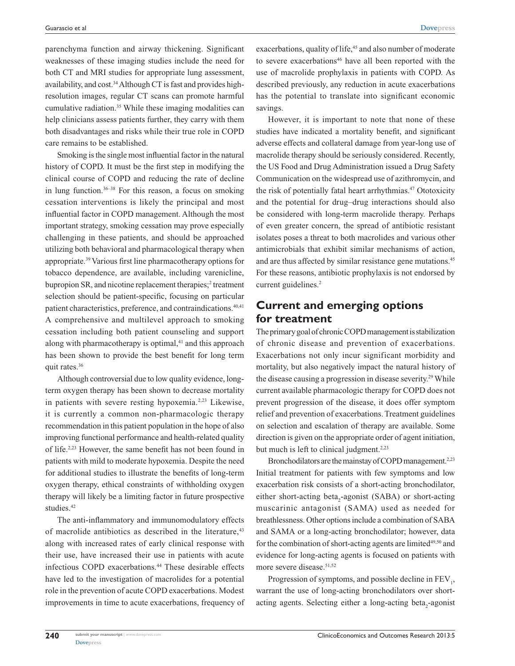parenchyma function and airway thickening. Significant weaknesses of these imaging studies include the need for both CT and MRI studies for appropriate lung assessment, availability, and cost.<sup>34</sup> Although CT is fast and provides highresolution images, regular CT scans can promote harmful cumulative radiation.35 While these imaging modalities can help clinicians assess patients further, they carry with them both disadvantages and risks while their true role in COPD care remains to be established.

Smoking is the single most influential factor in the natural history of COPD. It must be the first step in modifying the clinical course of COPD and reducing the rate of decline in lung function.36–38 For this reason, a focus on smoking cessation interventions is likely the principal and most influential factor in COPD management. Although the most important strategy, smoking cessation may prove especially challenging in these patients, and should be approached utilizing both behavioral and pharmacological therapy when appropriate.39 Various first line pharmacotherapy options for tobacco dependence, are available, including varenicline, bupropion SR, and nicotine replacement therapies;<sup>2</sup> treatment selection should be patient-specific, focusing on particular patient characteristics, preference, and contraindications.<sup>40,41</sup> A comprehensive and multilevel approach to smoking cessation including both patient counseling and support along with pharmacotherapy is optimal, $4<sup>1</sup>$  and this approach has been shown to provide the best benefit for long term quit rates.<sup>36</sup>

Although controversial due to low quality evidence, longterm oxygen therapy has been shown to decrease mortality in patients with severe resting hypoxemia.<sup>2,23</sup> Likewise, it is currently a common non-pharmacologic therapy recommendation in this patient population in the hope of also improving functional performance and health-related quality of life.2,23 However, the same benefit has not been found in patients with mild to moderate hypoxemia. Despite the need for additional studies to illustrate the benefits of long-term oxygen therapy, ethical constraints of withholding oxygen therapy will likely be a limiting factor in future prospective studies.<sup>42</sup>

The anti-inflammatory and immunomodulatory effects of macrolide antibiotics as described in the literature,<sup>43</sup> along with increased rates of early clinical response with their use, have increased their use in patients with acute infectious COPD exacerbations.<sup>44</sup> These desirable effects have led to the investigation of macrolides for a potential role in the prevention of acute COPD exacerbations. Modest improvements in time to acute exacerbations, frequency of exacerbations, quality of life,<sup>45</sup> and also number of moderate to severe exacerbations<sup>46</sup> have all been reported with the use of macrolide prophylaxis in patients with COPD. As described previously, any reduction in acute exacerbations has the potential to translate into significant economic savings.

However, it is important to note that none of these studies have indicated a mortality benefit, and significant adverse effects and collateral damage from year-long use of macrolide therapy should be seriously considered. Recently, the US Food and Drug Administration issued a Drug Safety Communication on the widespread use of azithromycin, and the risk of potentially fatal heart arrhythmias.<sup>47</sup> Ototoxicity and the potential for drug–drug interactions should also be considered with long-term macrolide therapy. Perhaps of even greater concern, the spread of antibiotic resistant isolates poses a threat to both macrolides and various other antimicrobials that exhibit similar mechanisms of action, and are thus affected by similar resistance gene mutations.<sup>45</sup> For these reasons, antibiotic prophylaxis is not endorsed by current guidelines.<sup>2</sup>

# **Current and emerging options for treatment**

The primary goal of chronic COPD management is stabilization of chronic disease and prevention of exacerbations. Exacerbations not only incur significant morbidity and mortality, but also negatively impact the natural history of the disease causing a progression in disease severity.<sup>29</sup> While current available pharmacologic therapy for COPD does not prevent progression of the disease, it does offer symptom relief and prevention of exacerbations. Treatment guidelines on selection and escalation of therapy are available. Some direction is given on the appropriate order of agent initiation, but much is left to clinical judgment. $2,23$ 

Bronchodilators are the mainstay of COPD management.<sup>2,23</sup> Initial treatment for patients with few symptoms and low exacerbation risk consists of a short-acting bronchodilator, either short-acting beta<sub>2</sub>-agonist (SABA) or short-acting muscarinic antagonist (SAMA) used as needed for breathlessness. Other options include a combination of SABA and SAMA or a long-acting bronchodilator; however, data for the combination of short-acting agents are limited $49,50$  and evidence for long-acting agents is focused on patients with more severe disease.<sup>51,52</sup>

Progression of symptoms, and possible decline in  $FEV<sub>1</sub>$ , warrant the use of long-acting bronchodilators over shortacting agents. Selecting either a long-acting beta<sub>2</sub>-agonist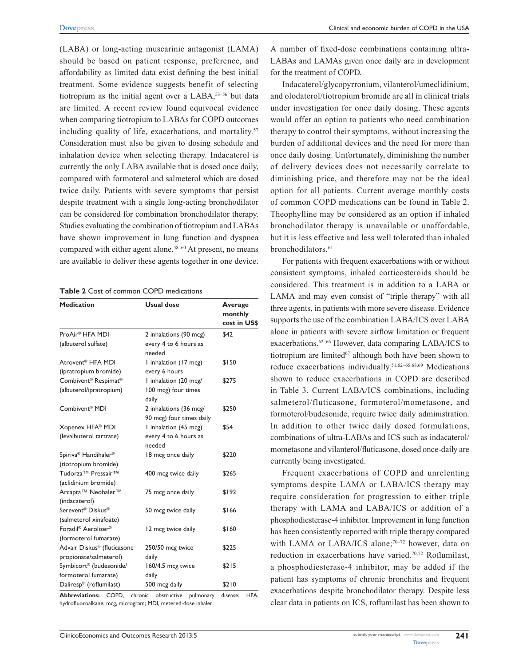(LABA) or long-acting muscarinic antagonist (LAMA) should be based on patient response, preference, and affordability as limited data exist defining the best initial treatment. Some evidence suggests benefit of selecting tiotropium as the initial agent over a LABA,<sup>53–56</sup> but data are limited. A recent review found equivocal evidence when comparing tiotropium to LABAs for COPD outcomes including quality of life, exacerbations, and mortality.<sup>57</sup> Consideration must also be given to dosing schedule and inhalation device when selecting therapy. Indacaterol is currently the only LABA available that is dosed once daily, compared with formoterol and salmeterol which are dosed twice daily. Patients with severe symptoms that persist despite treatment with a single long-acting bronchodilator can be considered for combination bronchodilator therapy. Studies evaluating the combination of tiotropium and LABAs have shown improvement in lung function and dyspnea compared with either agent alone.<sup>58-60</sup> At present, no means are available to deliver these agents together in one device.

**Table 2** Cost of common COPD medications

| <b>Medication</b>                            | <b>Usual dose</b>                                  | Average<br>monthly<br>cost in US\$ |
|----------------------------------------------|----------------------------------------------------|------------------------------------|
| ProAir® HFA MDI                              | 2 inhalations (90 mcg)                             | \$42                               |
| (albuterol sulfate)                          | every 4 to 6 hours as<br>needed                    |                                    |
| Atrovent <sup>®</sup> HFA MDI                | I inhalation (17 mcg)                              | \$150                              |
| (ipratropium bromide)                        | every 6 hours                                      |                                    |
| Combivent <sup>®</sup> Respimat <sup>®</sup> | I inhalation (20 mcg/                              | \$275                              |
| (albuterol/ipratropium)                      | 100 mcg) four times<br>daily                       |                                    |
| Combivent <sup>®</sup> MDI                   | 2 inhalations (36 mcg/<br>90 mcg) four times daily | \$250                              |
| Xopenex HFA® MDI                             | I inhalation (45 mcg)                              | \$54                               |
| (levalbuterol tartrate)                      | every 4 to 6 hours as<br>needed                    |                                    |
| Spiriva <sup>®</sup> Handihaler <sup>®</sup> | 18 mcg once daily                                  | \$220                              |
| (tiotropium bromide)                         |                                                    |                                    |
| Tudorza <sup>™</sup> Pressair <sup>™</sup>   | 400 mcg twice daily                                | \$265                              |
| (aclidinium bromide)                         |                                                    |                                    |
| Arcapta <sup>™</sup> Neohaler <sup>™</sup>   | 75 mcg once daily                                  | \$192                              |
| (indacaterol)                                |                                                    |                                    |
| Serevent <sup>®</sup> Diskus <sup>®</sup>    | 50 mcg twice daily                                 | \$166                              |
| (salmeterol xinafoate)                       |                                                    |                                    |
| Foradil <sup>®</sup> Aerolizer <sup>®</sup>  | 12 mcg twice daily                                 | \$160                              |
| (formoterol fumarate)                        |                                                    |                                    |
| Advair Diskus® (fluticasone                  | 250/50 mcg twice                                   | \$225                              |
| propionate/salmeterol)                       | daily                                              |                                    |
| Symbicort® (budesonide/                      | 160/4.5 mcg twice                                  | \$215                              |
| formoterol fumarate)                         | daily                                              |                                    |
| Daliresp® (roflumilast)                      | 500 mcg daily                                      | \$210                              |

**Abbreviations:** COPD, chronic obstructive pulmonary disease; HFA, hydrofluoroalkane; mcg, microgram; MDI, metered-dose inhaler.

A number of fixed-dose combinations containing ultra-LABAs and LAMAs given once daily are in development for the treatment of COPD.

Indacaterol/glycopyrronium, vilanterol/umeclidinium, and olodaterol/tiotropium bromide are all in clinical trials under investigation for once daily dosing. These agents would offer an option to patients who need combination therapy to control their symptoms, without increasing the burden of additional devices and the need for more than once daily dosing. Unfortunately, diminishing the number of delivery devices does not necessarily correlate to diminishing price, and therefore may not be the ideal option for all patients. Current average monthly costs of common COPD medications can be found in Table 2. Theophylline may be considered as an option if inhaled bronchodilator therapy is unavailable or unaffordable, but it is less effective and less well tolerated than inhaled bronchodilators.<sup>61</sup>

For patients with frequent exacerbations with or without consistent symptoms, inhaled corticosteroids should be considered. This treatment is in addition to a LABA or LAMA and may even consist of "triple therapy" with all three agents, in patients with more severe disease. Evidence supports the use of the combination LABA/ICS over LABA alone in patients with severe airflow limitation or frequent exacerbations.<sup>62–66</sup> However, data comparing LABA/ICS to tiotropium are limited $67$  although both have been shown to reduce exacerbations individually.51,62–65,68,69 Medications shown to reduce exacerbations in COPD are described in Table 3. Current LABA/ICS combinations, including salmeterol/fluticasone, formoterol/mometasone, and formoterol/budesonide, require twice daily administration. In addition to other twice daily dosed formulations, combinations of ultra-LABAs and ICS such as indacaterol/ mometasone and vilanterol/fluticasone, dosed once-daily are currently being investigated.

Frequent exacerbations of COPD and unrelenting symptoms despite LAMA or LABA/ICS therapy may require consideration for progression to either triple therapy with LAMA and LABA/ICS or addition of a phosphodiesterase-4 inhibitor. Improvement in lung function has been consistently reported with triple therapy compared with LAMA or LABA/ICS alone;<sup>70-72</sup> however, data on reduction in exacerbations have varied.70,72 Roflumilast, a phosphodiesterase-4 inhibitor, may be added if the patient has symptoms of chronic bronchitis and frequent exacerbations despite bronchodilator therapy. Despite less clear data in patients on ICS, roflumilast has been shown to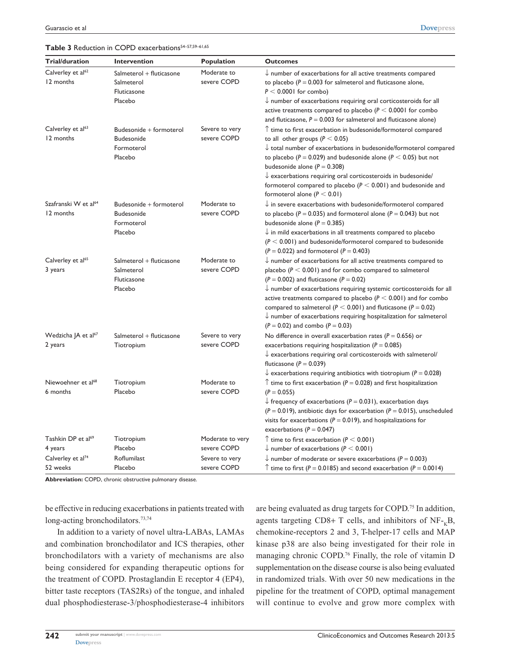#### Table 3 Reduction in COPD exacerbations<sup>54-57,59-61,65</sup>

| <b>Trial/duration</b>                                                                  | Intervention                                                          | Population                                                       | <b>Outcomes</b>                                                                                                                                                                                                                                                                                                                                                                                                                                                                                                                                       |
|----------------------------------------------------------------------------------------|-----------------------------------------------------------------------|------------------------------------------------------------------|-------------------------------------------------------------------------------------------------------------------------------------------------------------------------------------------------------------------------------------------------------------------------------------------------------------------------------------------------------------------------------------------------------------------------------------------------------------------------------------------------------------------------------------------------------|
| Calverley et al <sup>62</sup><br>12 months                                             | Salmeterol + fluticasone<br>Salmeterol<br>Fluticasone<br>Placebo      | Moderate to<br>severe COPD                                       | $\downarrow$ number of exacerbations for all active treatments compared<br>to placebo ( $P = 0.003$ for salmeterol and fluticasone alone,<br>$P < 0.0001$ for combo)<br>$\downarrow$ number of exacerbations requiring oral corticosteroids for all<br>active treatments compared to placebo ( $P < 0.0001$ for combo<br>and fluticasone, $P = 0.003$ for salmeterol and fluticasone alone)                                                                                                                                                           |
| Calverley et al <sup>63</sup><br>12 months                                             | Budesonide + formoterol<br><b>Budesonide</b><br>Formoterol<br>Placebo | Severe to very<br>severe COPD                                    | $\uparrow$ time to first exacerbation in budesonide/formoterol compared<br>to all other groups ( $P < 0.05$ )<br>$\downarrow$ total number of exacerbations in budesonide/formoterol compared<br>to placebo ( $P = 0.029$ ) and budesonide alone ( $P < 0.05$ ) but not<br>budesonide alone ( $P = 0.308$ )<br>$\downarrow$ exacerbations requiring oral corticosteroids in budesonide/<br>formoterol compared to placebo ( $P < 0.001$ ) and budesonide and<br>formoterol alone ( $P < 0.01$ )                                                       |
| Szafranski W et al <sup>64</sup><br>12 months                                          | Budesonide + formoterol<br><b>Budesonide</b><br>Formoterol<br>Placebo | Moderate to<br>severe COPD                                       | $\downarrow$ in severe exacerbations with budesonide/formoterol compared<br>to placebo ( $P = 0.035$ ) and formoterol alone ( $P = 0.043$ ) but not<br>budesonide alone ( $P = 0.385$ )<br>$\downarrow$ in mild exacerbations in all treatments compared to placebo<br>$(P < 0.001)$ and budesonide/formoterol compared to budesonide<br>$(P = 0.022)$ and formoterol $(P = 0.403)$                                                                                                                                                                   |
| Calverley et al <sup>65</sup><br>3 years                                               | Salmeterol + fluticasone<br>Salmeterol<br>Fluticasone<br>Placebo      | Moderate to<br>severe COPD                                       | $\downarrow$ number of exacerbations for all active treatments compared to<br>placebo ( $P < 0.001$ ) and for combo compared to salmeterol<br>$(P = 0.002)$ and fluticasone ( $P = 0.02$ )<br>$\downarrow$ number of exacerbations requiring systemic corticosteroids for all<br>active treatments compared to placebo ( $P < 0.001$ ) and for combo<br>compared to salmeterol ( $P < 0.001$ ) and fluticasone ( $P = 0.02$ )<br>$\downarrow$ number of exacerbations requiring hospitalization for salmeterol<br>$(P = 0.02)$ and combo $(P = 0.03)$ |
| Wedzicha JA et al <sup>67</sup><br>2 years                                             | Salmeterol + fluticasone<br>Tiotropium                                | Severe to very<br>severe COPD                                    | No difference in overall exacerbation rates ( $P = 0.656$ ) or<br>exacerbations requiring hospitalization ( $P = 0.085$ )<br>$\downarrow$ exacerbations requiring oral corticosteroids with salmeterol/<br>fluticasone ( $P = 0.039$ )<br>$\downarrow$ exacerbations requiring antibiotics with tiotropium (P = 0.028)                                                                                                                                                                                                                                |
| Niewoehner et al <sup>68</sup><br>6 months                                             | Tiotropium<br>Placebo                                                 | Moderate to<br>severe COPD                                       | $\hat{\Gamma}$ time to first exacerbation (P = 0.028) and first hospitalization<br>$(P = 0.055)$<br>$\downarrow$ frequency of exacerbations (P = 0.031), exacerbation days<br>$(P = 0.019)$ , antibiotic days for exacerbation ( $P = 0.015$ ), unscheduled<br>visits for exacerbations ( $P = 0.019$ ), and hospitalizations for<br>exacerbations ( $P = 0.047$ )                                                                                                                                                                                    |
| Tashkin DP et al <sup>69</sup><br>4 years<br>Calverley et al <sup>74</sup><br>52 weeks | Tiotropium<br>Placebo<br>Roflumilast<br>Placebo                       | Moderate to very<br>severe COPD<br>Severe to very<br>severe COPD | $\uparrow$ time to first exacerbation ( $P < 0.001$ )<br>$\downarrow$ number of exacerbations (P < 0.001)<br>$\downarrow$ number of moderate or severe exacerbations (P = 0.003)<br>$\hat{\Gamma}$ time to first (P = 0.0185) and second exacerbation (P = 0.0014)                                                                                                                                                                                                                                                                                    |

**Abbreviation:** COPD, chronic obstructive pulmonary disease.

be effective in reducing exacerbations in patients treated with long-acting bronchodilators.73,74

In addition to a variety of novel ultra-LABAs, LAMAs and combination bronchodilator and ICS therapies, other bronchodilators with a variety of mechanisms are also being considered for expanding therapeutic options for the treatment of COPD. Prostaglandin E receptor 4 (EP4), bitter taste receptors (TAS2Rs) of the tongue, and inhaled dual phosphodiesterase-3/phosphodiesterase-4 inhibitors are being evaluated as drug targets for COPD.75 In addition, agents targeting CD8+ T cells, and inhibitors of  $NF$ -<sub> $k$ </sub>B, chemokine-receptors 2 and 3, T-helper-17 cells and MAP kinase p38 are also being investigated for their role in managing chronic COPD.76 Finally, the role of vitamin D supplementation on the disease course is also being evaluated in randomized trials. With over 50 new medications in the pipeline for the treatment of COPD, optimal management will continue to evolve and grow more complex with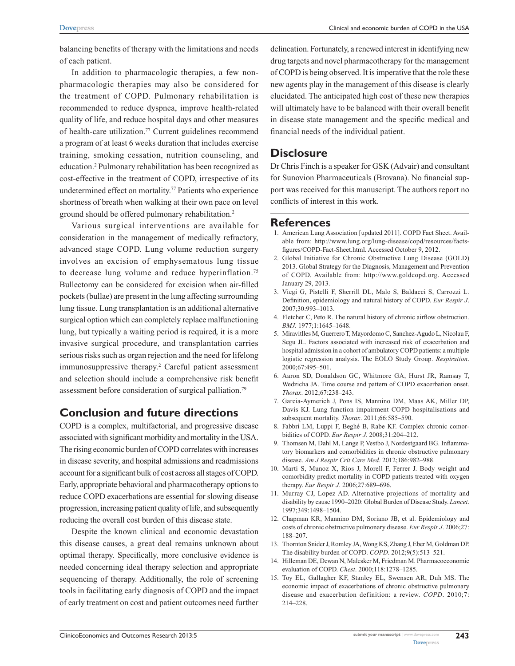balancing benefits of therapy with the limitations and needs of each patient.

In addition to pharmacologic therapies, a few nonpharmacologic therapies may also be considered for the treatment of COPD. Pulmonary rehabilitation is recommended to reduce dyspnea, improve health-related quality of life, and reduce hospital days and other measures of health-care utilization.<sup>77</sup> Current guidelines recommend a program of at least 6 weeks duration that includes exercise training, smoking cessation, nutrition counseling, and education.2 Pulmonary rehabilitation has been recognized as cost-effective in the treatment of COPD, irrespective of its undetermined effect on mortality.<sup>77</sup> Patients who experience shortness of breath when walking at their own pace on level ground should be offered pulmonary rehabilitation.2

Various surgical interventions are available for consideration in the management of medically refractory, advanced stage COPD. Lung volume reduction surgery involves an excision of emphysematous lung tissue to decrease lung volume and reduce hyperinflation.<sup>75</sup> Bullectomy can be considered for excision when air-filled pockets (bullae) are present in the lung affecting surrounding lung tissue. Lung transplantation is an additional alternative surgical option which can completely replace malfunctioning lung, but typically a waiting period is required, it is a more invasive surgical procedure, and transplantation carries serious risks such as organ rejection and the need for lifelong immunosuppressive therapy.<sup>2</sup> Careful patient assessment and selection should include a comprehensive risk benefit assessment before consideration of surgical palliation.79

# **Conclusion and future directions**

COPD is a complex, multifactorial, and progressive disease associated with significant morbidity and mortality in the USA. The rising economic burden of COPD correlates with increases in disease severity, and hospital admissions and readmissions account for a significant bulk of cost across all stages of COPD. Early, appropriate behavioral and pharmacotherapy options to reduce COPD exacerbations are essential for slowing disease progression, increasing patient quality of life, and subsequently reducing the overall cost burden of this disease state.

Despite the known clinical and economic devastation this disease causes, a great deal remains unknown about optimal therapy. Specifically, more conclusive evidence is needed concerning ideal therapy selection and appropriate sequencing of therapy. Additionally, the role of screening tools in facilitating early diagnosis of COPD and the impact of early treatment on cost and patient outcomes need further

delineation. Fortunately, a renewed interest in identifying new drug targets and novel pharmacotherapy for the management of COPD is being observed. It is imperative that the role these new agents play in the management of this disease is clearly elucidated. The anticipated high cost of these new therapies will ultimately have to be balanced with their overall benefit in disease state management and the specific medical and financial needs of the individual patient.

### **Disclosure**

Dr Chris Finch is a speaker for GSK (Advair) and consultant for Sunovion Pharmaceuticals (Brovana). No financial support was received for this manuscript. The authors report no conflicts of interest in this work.

### **References**

- 1. American Lung Association [updated 2011]. COPD Fact Sheet. Available from: [http://www.lung.org/lung-disease/copd/resources/facts](http://www.lung.org/lung-disease/copd/resources/facts-figures/COPD-Fact-Sheet.html)[figures/COPD-Fact-Sheet.html](http://www.lung.org/lung-disease/copd/resources/facts-figures/COPD-Fact-Sheet.html). Accessed October 9, 2012.
- 2. Global Initiative for Chronic Obstructive Lung Disease (GOLD) 2013. Global Strategy for the Diagnosis, Management and Prevention of COPD. Available from: http://[www.goldcopd.org](http://www.goldcopd.org). Accessed January 29, 2013.
- 3. Viegi G, Pistelli F, Sherrill DL, Malo S, Baldacci S, Carrozzi L. Definition, epidemiology and natural history of COPD. *Eur Respir J*. 2007;30:993–1013.
- 4. Fletcher C, Peto R. The natural history of chronic airflow obstruction. *BMJ*. 1977;1:1645–1648.
- 5. Miravitlles M, Guerrero T, Mayordomo C, Sanchez-Agudo L, Nicolau F, Segu JL. Factors associated with increased risk of exacerbation and hospital admission in a cohort of ambulatory COPD patients: a multiple logistic regression analysis. The EOLO Study Group. *Respiration*. 2000;67:495–501.
- 6. Aaron SD, Donaldson GC, Whitmore GA, Hurst JR, Ramsay T, Wedzicha JA. Time course and pattern of COPD exacerbation onset. *Thorax*. 2012;67:238–243.
- 7. Garcia-Aymerich J, Pons IS, Mannino DM, Maas AK, Miller DP, Davis KJ. Lung function impairment COPD hospitalisations and subsequent mortality. *Thorax*. 2011;66:585–590.
- 8. Fabbri LM, Luppi F, Beghé B, Rabe KF. Complex chronic comorbidities of COPD. *Eur Respir J*. 2008;31:204–212.
- 9. Thomsen M, Dahl M, Lange P, Vestbo J, Nordestgaard BG. Inflammatory biomarkers and comorbidities in chronic obstructive pulmonary disease. *Am J Respir Crit Care Med*. 2012;186:982–988.
- 10. Marti S, Munoz X, Rios J, Morell F, Ferrer J. Body weight and comorbidity predict mortality in COPD patients treated with oxygen therapy. *Eur Respir J*. 2006;27:689–696.
- 11. Murray CJ, Lopez AD. Alternative projections of mortality and disability by cause 1990–2020: Global Burden of Disease Study. *Lancet*. 1997;349:1498–1504.
- 12. Chapman KR, Mannino DM, Soriano JB, et al. Epidemiology and costs of chronic obstructive pulmonary disease. *Eur Respir J*. 2006;27: 188–207.
- 13. Thornton Snider J, Romley JA, Wong KS, Zhang J, Eber M, Goldman DP. The disability burden of COPD. *COPD*. 2012;9(5):513–521.
- 14. Hilleman DE, Dewan N, Malesker M, Friedman M. Pharmacoeconomic evaluation of COPD. *Chest*. 2000;118:1278–1285.
- 15. Toy EL, Gallagher KF, Stanley EL, Swensen AR, Duh MS. The economic impact of exacerbations of chronic obstructive pulmonary disease and exacerbation definition: a review. *COPD*. 2010;7: 214–228.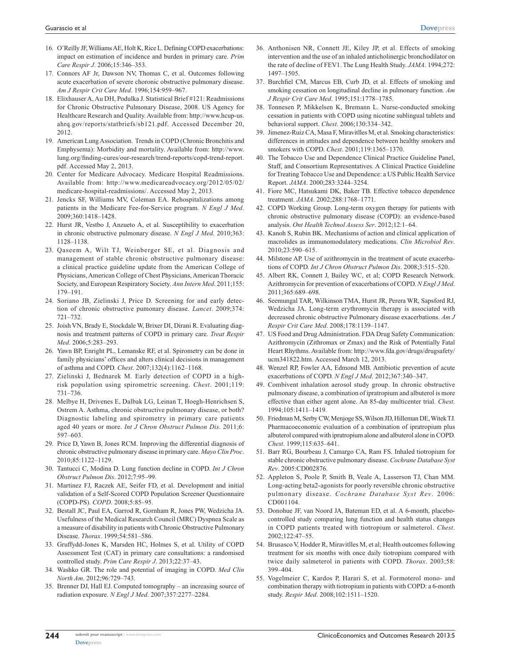- 16. O'Reilly JF, Williams AE, Holt K, Rice L. Defining COPD exacerbations: impact on estimation of incidence and burden in primary care. *Prim Care Respir J*. 2006;15:346–353.
- 17. Connors AF Jr, Dawson NV, Thomas C, et al. Outcomes following acute exacerbation of severe choronic obstructive pulmonary disease. *Am J Respir Crit Care Med*. 1996;154:959–967.
- 18. Elixhauser A, Au DH, Podulka J. Statistical Brief #121: Readmissions for Chronic Obstructive Pulmonary Disease, 2008. US Agency for Healthcare Research and Quality. Available from: [http://www.hcup-us.](http://www.hcup-us.ahrq.gov/reports/statbriefs/sb121.pdf) [ahrq.gov](http://www.hcup-us.ahrq.gov/reports/statbriefs/sb121.pdf)/reports/statbriefs/sb121.pdf. Accessed December 20, 2012.
- 19. American Lung Association. Trends in COPD (Chronic Bronchitis and Emphysema): Morbidity and mortality. [Available from: http://www.](Available from: http://www.lung.org/finding-cures/our-research/trend-reports/copd-trend-report.pdf) [lung.org/finding-cures/our-research/trend-reports/copd-trend-report.](Available from: http://www.lung.org/finding-cures/our-research/trend-reports/copd-trend-report.pdf) [pdf.](Available from: http://www.lung.org/finding-cures/our-research/trend-reports/copd-trend-report.pdf) Accessed May 2, 2013.
- 20. Center for Medicare Advocacy. Medicare Hospital Readmissions. Available from: [http://www.medicareadvocacy.org/2012/05/02/](http://www.medicareadvocacy.org/2012/05/02/medicare-hospital-readmissions/) [medicare-hospital-readmissions/](http://www.medicareadvocacy.org/2012/05/02/medicare-hospital-readmissions/). Accessed May 2, 2013.
- 21. Jencks SF, Williams MV, Coleman EA. Rehospitalizations among patients in the Medicare Fee-for-Service program. *N Engl J Med*. 2009;360:1418–1428.
- 22. Hurst JR, Vestbo J, Anzueto A, et al. Susceptibility to exacerbation in chronic obstructive pulmonary disease. *N Engl J Med*. 2010;363: 1128–1138.
- 23. Qaseem A, Wilt TJ, Weinberger SE, et al. Diagnosis and management of stable chronic obstructive pulmonary disease: a clinical practice guideline update from the American College of Physicians, American College of Chest Physicians, American Thoracic Society, and European Respiratory Society. *Ann Intern Med*. 2011;155: 179–191.
- 24. Soriano JB, Zielinski J, Price D. Screening for and early detection of chronic obstructive pumonary disease. *Lancet*. 2009;374: 721–732.
- 25. Joish VN, Brady E, Stockdale W, Brixer DI, Dirani R. Evaluating diagnosis and treatment patterns of COPD in primary care. *Treat Respir Med*. 2006;5:283–293.
- 26. Yawn BP, Enright PL, Lemanske RF, et al. Spirometry can be done in family physicians' offices and alters clinical decisions in management of asthma and COPD. *Chest*. 2007;132(4):1162–1168.
- 27. Zielinski J, Bednarek M. Early detection of COPD in a highrisk population using spirometric screening. *Chest*. 2001;119: 731–736.
- 28. Melbye H, Drivenes E, Dalbak LG, Leinan T, Hoegh-Henrichsen S, Ostrem A. Asthma, chronic obstructive pulmonary disease, or both? Diagnostic labeling and spirometry in primary care patients aged 40 years or more. *Int J Chron Obstruct Pulmon Dis*. 2011;6: 597–603.
- 29. Price D, Yawn B, Jones RCM. Improving the differential diagnosis of chronic obstructive pulmonary disease in primary care. *Mayo Clin Proc*. 2010;85:1122–1129.
- 30. Tantucci C, Modina D. Lung function decline in COPD. *Int J Chron Obstruct Pulmon Dis*. 2012;7:95–99.
- 31. Martinez FJ, Raczek AE, Seifer FD, et al. Development and initial validation of a Self-Scored COPD Population Screener Questionnaire (COPD-PS). *COPD*. 2008;5:85–95.
- 32. Bestall JC, Paul EA, Garrod R, Gornham R, Jones PW, Wedzicha JA. Usefulness of the Medical Research Council (MRC) Dyspnea Scale as a measure of disability in patients with Chronic Obstructive Pulmonary Disease. *Thorax*. 1999;54:581–586.
- 33. Gruffydd-Jones K, Marsden HC, Holmes S, et al. Utility of COPD Assessment Test (CAT) in primary care consultations: a randomised controlled study. *Prim Care Respir J*. 2013;22:37–43.
- 34. Washko GR. The role and potential of imaging in COPD. *Med Clin North Am*. 2012;96:729–743.
- 35. Brenner DJ, Hall EJ. Computed tomography an increasing source of radiation exposure. *N Engl J Med*. 2007;357:2277–2284.
- 36. Anthonisen NR, Connett JE, Kiley JP, et al. Effects of smoking intervention and the use of an inhaled anticholinergic bronchodilator on the rate of decline of FEV1. The Lung Health Study. *JAMA*. 1994;272: 1497–1505.
- 37. Burchfiel CM, Marcus EB, Curb JD, et al. Effects of smoking and smoking cessation on longitudinal decline in pulmonary function. *Am J Respir Crit Care Med*. 1995;151:1778–1785.
- 38. Tonnesen P, Mikkelsen K, Bremann L. Nurse-conducted smoking cessation in patients with COPD using nicotine sublingual tablets and behavioral support. *Chest*. 2006;130:334–342.
- 39. Jimenez-Ruiz CA, Masa F, Miravitlles M, et al. Smoking characteristics: differences in attitudes and dependence between healthy smokers and smokers with COPD. *Chest*. 2001;119:1365–1370.
- 40. The Tobacco Use and Dependence Clinical Practice Guideline Panel, Staff, and Consortium Representatives. A Clinical Practice Guideline for Treating Tobacco Use and Dependence: a US Public Health Service Report. *JAMA*. 2000;283:3244–3254.
- 41. Fiore MC, Hatsukami DK, Baker TB. Effective tobacco dependence treatment. *JAMA*. 2002;288:1768–1771.
- 42. COPD Working Group. Long-term oxygen therapy for patients with chronic obstructive pulmonary disease (COPD): an evidence-based analysis. *Ont Health Technol Assess Ser*. 2012;12:1–64.
- 43. Kanoh S, Rubin BK. Mechanisms of action and clinical application of macrolides as immunomodulatory medications. *Clin Microbiol Rev*. 2010;23:590–615.
- 44. Milstone AP. Use of azithromycin in the treatment of acute exacerbations of COPD. *Int J Chron Obstruct Pulmon Dis*. 2008;3:515–520.
- 45. Albert RK, Connett J, Bailey WC, et al; COPD Research Network. Azithromycin for prevention of exacerbations of COPD. *N Engl J Med*. 2011;365:689–698.
- 46. Seemungal TAR, Wilkinson TMA, Hurst JR, Perera WR, Sapsford RJ, Wedzicha JA. Long-term erythromycin therapy is associated with decreased chronic obstructive Pulmonary disease exacerbations. *Am J Respir Crit Care Med*. 2008;178:1139–1147.
- 47. US Food and Drug Administration. FDA Drug Safety Communication: Azithromycin (Zithromax or Zmax) and the Risk of Potentially Fatal Heart Rhythms. Available from: [http://www.fda.gov/](http://www.fda.gov/drugs/drugsafety/ucm341822.htm)drugs/drugsafety/ ucm341822.htm. Accessed March 12, 2013.
- Wenzel RP, Fowler AA, Edmond MB. Antibiotic prevention of acute exacerbations of COPD. *N Engl J Med*. 2012;367:340–347.
- 49. Combivent inhalation aerosol study group. In chronic obstructive pulmonary disease, a combination of ipratropium and albuterol is more effective than either agent alone. An 85-day multicenter trial. *Chest*. 1994;105:1411–1419.
- 50. Friedman M, Serby CW, Menjoge SS, Wilson JD, Hilleman DE, Witek TJ. Pharmacoeconomic evaluation of a combination of ipratropium plus albuterol compared with ipratropium alone and albuterol alone in COPD. *Chest*. 1999;115:635–641.
- 51. Barr RG, Bourbeau J, Camargo CA, Ram FS. Inhaled tiotropium for stable chronic obstructive pulmonary disease. *Cochrane Database Syst Rev*. 2005:CD002876.
- 52. Appleton S, Poole P, Smith B, Veale A, Lasserson TJ, Chan MM. Long-acting beta2-agonists for poorly reversible chronic obstructive pulmonary disease. *Cochrane Database Syst Rev*. 2006: CD001104.
- 53. Donohue JF, van Noord JA, Bateman ED, et al. A 6-month, placebocontrolled study comparing lung function and health status changes in COPD patients treated with tiotropium or salmeterol. *Chest*. 2002;122:47–55.
- 54. Brusasco V, Hodder R, Miravitlles M, et al; Health outcomes following treatment for six months with once daily tiotropium compared with twice daily salmeterol in patients with COPD. *Thorax*. 2003;58: 399–404.
- 55. Vogelmeier C, Kardos P, Harari S, et al. Formoterol mono- and combination therapy with tiotropium in patients with COPD: a 6-month study. *Respir Med*. 2008;102:1511–1520.